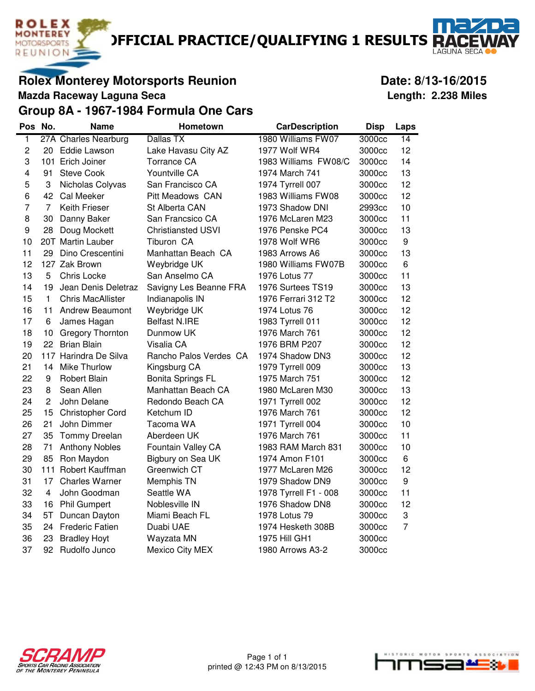**DEFICIAL PRACTICE/QUALIFYING 1 RESULTS R** 

**Rolex Monterey Motorsports Reunion Date: 8/13-16/2015** 

**Mazda Raceway Laguna Seca Length: 2.238 Miles**

**ROLEX MONTEREY** MOTORSPORTS REUNION

**LAGUNA SEC** 

#### **Group 8A - 1967-1984 Formula One Cars**

| Pos No.                 |                | <b>Name</b>              | Hometown                  | <b>CarDescription</b> | <b>Disp</b> | Laps             |
|-------------------------|----------------|--------------------------|---------------------------|-----------------------|-------------|------------------|
| 1                       |                | 27A Charles Nearburg     | Dallas TX                 | 1980 Williams FW07    | 3000cc      | 14               |
| $\overline{c}$          | 20             | <b>Eddie Lawson</b>      | Lake Havasu City AZ       | 1977 Wolf WR4         | 3000cc      | 12               |
| 3                       |                | 101 Erich Joiner         | <b>Torrance CA</b>        | 1983 Williams FW08/C  | 3000cc      | 14               |
| $\overline{\mathbf{4}}$ | 91             | <b>Steve Cook</b>        | Yountville CA             | 1974 March 741        | 3000cc      | 13               |
| 5                       | 3              | Nicholas Colyvas         | San Francisco CA          | 1974 Tyrrell 007      | 3000cc      | 12               |
| 6                       | 42             | Cal Meeker               | <b>Pitt Meadows CAN</b>   | 1983 Williams FW08    | 3000cc      | 12               |
| $\overline{7}$          | 7              | <b>Keith Frieser</b>     | St Alberta CAN            | 1973 Shadow DNI       | 2993cc      | 10               |
| 8                       | 30             | Danny Baker              | San Francsico CA          | 1976 McLaren M23      | 3000cc      | 11               |
| 9                       | 28             | Doug Mockett             | <b>Christiansted USVI</b> | 1976 Penske PC4       | 3000cc      | 13               |
| 10                      |                | 20T Martin Lauber        | Tiburon CA                | 1978 Wolf WR6         | 3000cc      | $\boldsymbol{9}$ |
| 11                      | 29             | Dino Crescentini         | Manhattan Beach CA        | 1983 Arrows A6        | 3000cc      | 13               |
| 12                      |                | 127 Zak Brown            | Weybridge UK              | 1980 Williams FW07B   | 3000cc      | 6                |
| 13                      | 5              | Chris Locke              | San Anselmo CA            | 1976 Lotus 77         | 3000cc      | 11               |
| 14                      | 19             | Jean Denis Deletraz      | Savigny Les Beanne FRA    | 1976 Surtees TS19     | 3000cc      | 13               |
| 15                      | $\mathbf{1}$   | <b>Chris MacAllister</b> | Indianapolis IN           | 1976 Ferrari 312 T2   | 3000cc      | 12               |
| 16                      | 11             | <b>Andrew Beaumont</b>   | Weybridge UK              | 1974 Lotus 76         | 3000cc      | 12               |
| 17                      | 6              | James Hagan              | <b>Belfast N.IRE</b>      | 1983 Tyrrell 011      | 3000cc      | 12               |
| 18                      | 10             | <b>Gregory Thornton</b>  | Dunmow UK                 | 1976 March 761        | 3000cc      | 12               |
| 19                      | 22             | <b>Brian Blain</b>       | Visalia CA                | 1976 BRM P207         | 3000cc      | 12               |
| 20                      |                | 117 Harindra De Silva    | Rancho Palos Verdes CA    | 1974 Shadow DN3       | 3000cc      | 12               |
| 21                      | 14             | <b>Mike Thurlow</b>      | Kingsburg CA              | 1979 Tyrrell 009      | 3000cc      | 13               |
| 22                      | 9              | <b>Robert Blain</b>      | <b>Bonita Springs FL</b>  | 1975 March 751        | 3000cc      | 12               |
| 23                      | 8              | Sean Allen               | Manhattan Beach CA        | 1980 McLaren M30      | 3000cc      | 13               |
| 24                      | $\overline{c}$ | John Delane              | Redondo Beach CA          | 1971 Tyrrell 002      | 3000cc      | 12               |
| 25                      | 15             | Christopher Cord         | Ketchum ID                | 1976 March 761        | 3000cc      | 12               |
| 26                      | 21             | John Dimmer              | Tacoma WA                 | 1971 Tyrrell 004      | 3000cc      | 10               |
| 27                      | 35             | Tommy Dreelan            | Aberdeen UK               | 1976 March 761        | 3000cc      | 11               |
| 28                      | 71             | <b>Anthony Nobles</b>    | Fountain Valley CA        | 1983 RAM March 831    | 3000cc      | 10               |
| 29                      | 85             | Ron Maydon               | Bigbury on Sea UK         | 1974 Amon F101        | 3000cc      | 6                |
| 30                      |                | 111 Robert Kauffman      | Greenwich CT              | 1977 McLaren M26      | 3000cc      | 12               |
| 31                      | 17             | <b>Charles Warner</b>    | Memphis TN                | 1979 Shadow DN9       | 3000cc      | 9                |
| 32                      | 4              | John Goodman             | Seattle WA                | 1978 Tyrrell F1 - 008 | 3000cc      | 11               |
| 33                      | 16             | <b>Phil Gumpert</b>      | Noblesville IN            | 1976 Shadow DN8       | 3000cc      | 12               |
| 34                      | 5T             | Duncan Dayton            | Miami Beach FL            | 1978 Lotus 79         | 3000cc      | 3                |
| 35                      | 24             | <b>Frederic Fatien</b>   | Duabi UAE                 | 1974 Hesketh 308B     | 3000cc      | $\overline{7}$   |
| 36                      | 23             | <b>Bradley Hoyt</b>      | Wayzata MN                | 1975 Hill GH1         | 3000cc      |                  |
| 37                      | 92             | Rudolfo Junco            | <b>Mexico City MEX</b>    | 1980 Arrows A3-2      | 3000cc      |                  |



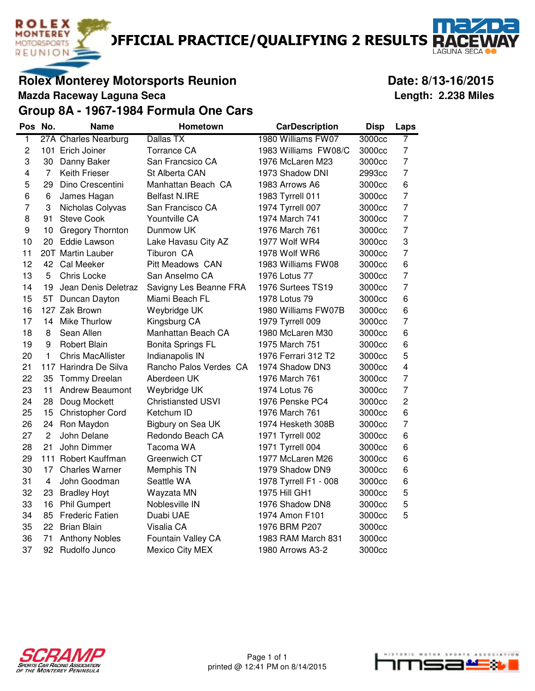**DEFICIAL PRACTICE/QUALIFYING 2 RESULTS R** 

**Rolex Monterey Motorsports Reunion Contract Contract Contract Date: 8/13-16/2015** 

**Mazda Raceway Laguna Seca Length: 2.238 Miles**

**ROLEX MONTEREY MOTORSPORTS** REUNION

**Group 8A - 1967-1984 Formula One Cars**

| Pos                     | No.            | Name                     | Hometown                  | <b>CarDescription</b> | <b>Disp</b> | Laps           |
|-------------------------|----------------|--------------------------|---------------------------|-----------------------|-------------|----------------|
| $\overline{1}$          |                | 27A Charles Nearburg     | Dallas TX                 | 1980 Williams FW07    | 3000cc      | 7              |
| 2                       |                | 101 Erich Joiner         | <b>Torrance CA</b>        | 1983 Williams FW08/C  | 3000cc      | $\overline{7}$ |
| 3                       | 30             | Danny Baker              | San Francsico CA          | 1976 McLaren M23      | 3000cc      | 7              |
| $\overline{\mathbf{4}}$ | $\overline{7}$ | <b>Keith Frieser</b>     | St Alberta CAN            | 1973 Shadow DNI       | 2993cc      | 7              |
| 5                       | 29             | Dino Crescentini         | Manhattan Beach CA        | 1983 Arrows A6        | 3000cc      | 6              |
| 6                       | 6              | James Hagan              | <b>Belfast N.IRE</b>      | 1983 Tyrrell 011      | 3000cc      | $\overline{7}$ |
| $\overline{7}$          | 3              | Nicholas Colyvas         | San Francisco CA          | 1974 Tyrrell 007      | 3000cc      | $\overline{7}$ |
| 8                       | 91             | <b>Steve Cook</b>        | Yountville CA             | 1974 March 741        | 3000cc      | 7              |
| 9                       | 10             | <b>Gregory Thornton</b>  | Dunmow UK                 | 1976 March 761        | 3000cc      | $\overline{7}$ |
| 10                      | 20             | <b>Eddie Lawson</b>      | Lake Havasu City AZ       | 1977 Wolf WR4         | 3000cc      | 3              |
| 11                      |                | 20T Martin Lauber        | Tiburon CA                | 1978 Wolf WR6         | 3000cc      | 7              |
| 12                      | 42             | Cal Meeker               | <b>Pitt Meadows CAN</b>   | 1983 Williams FW08    | 3000cc      | 6              |
| 13                      | 5              | Chris Locke              | San Anselmo CA            | 1976 Lotus 77         | 3000cc      | 7              |
| 14                      | 19             | Jean Denis Deletraz      | Savigny Les Beanne FRA    | 1976 Surtees TS19     | 3000cc      | 7              |
| 15                      | 5T.            | Duncan Dayton            | Miami Beach FL            | 1978 Lotus 79         | 3000cc      | 6              |
| 16                      |                | 127 Zak Brown            | Weybridge UK              | 1980 Williams FW07B   | 3000cc      | 6              |
| 17                      | 14             | <b>Mike Thurlow</b>      | Kingsburg CA              | 1979 Tyrrell 009      | 3000cc      | 7              |
| 18                      | 8              | Sean Allen               | Manhattan Beach CA        | 1980 McLaren M30      | 3000cc      | 6              |
| 19                      | 9              | <b>Robert Blain</b>      | <b>Bonita Springs FL</b>  | 1975 March 751        | 3000cc      | 6              |
| 20                      | 1              | <b>Chris MacAllister</b> | Indianapolis IN           | 1976 Ferrari 312 T2   | 3000cc      | 5              |
| 21                      |                | 117 Harindra De Silva    | Rancho Palos Verdes CA    | 1974 Shadow DN3       | 3000cc      | $\overline{4}$ |
| 22                      | 35             | <b>Tommy Dreelan</b>     | Aberdeen UK               | 1976 March 761        | 3000cc      | 7              |
| 23                      | 11             | <b>Andrew Beaumont</b>   | Weybridge UK              | 1974 Lotus 76         | 3000cc      | $\overline{7}$ |
| 24                      | 28             | Doug Mockett             | <b>Christiansted USVI</b> | 1976 Penske PC4       | 3000cc      | 2              |
| 25                      | 15             | Christopher Cord         | Ketchum ID                | 1976 March 761        | 3000cc      | 6              |
| 26                      | 24             | Ron Maydon               | Bigbury on Sea UK         | 1974 Hesketh 308B     | 3000cc      | $\overline{7}$ |
| 27                      | 2              | John Delane              | Redondo Beach CA          | 1971 Tyrrell 002      | 3000cc      | 6              |
| 28                      | 21             | John Dimmer              | Tacoma WA                 | 1971 Tyrrell 004      | 3000cc      | 6              |
| 29                      | 111            | Robert Kauffman          | Greenwich CT              | 1977 McLaren M26      | 3000cc      | 6              |
| 30                      | 17             | <b>Charles Warner</b>    | Memphis TN                | 1979 Shadow DN9       | 3000cc      | 6              |
| 31                      | 4              | John Goodman             | Seattle WA                | 1978 Tyrrell F1 - 008 | 3000cc      | 6              |
| 32                      | 23             | <b>Bradley Hoyt</b>      | Wayzata MN                | 1975 Hill GH1         | 3000cc      | 5              |
| 33                      | 16             | <b>Phil Gumpert</b>      | Noblesville IN            | 1976 Shadow DN8       | 3000cc      | 5              |
| 34                      | 85             | <b>Frederic Fatien</b>   | Duabi UAE                 | 1974 Amon F101        | 3000cc      | 5              |
| 35                      | 22             | <b>Brian Blain</b>       | Visalia CA                | 1976 BRM P207         | 3000cc      |                |
| 36                      | 71             | <b>Anthony Nobles</b>    | Fountain Valley CA        | 1983 RAM March 831    | 3000cc      |                |
| 37                      | 92             | Rudolfo Junco            | <b>Mexico City MEX</b>    | 1980 Arrows A3-2      | 3000cc      |                |



Page 1 of 1 printed @ 12:41 PM on 8/14/2015



I AGUNA SEC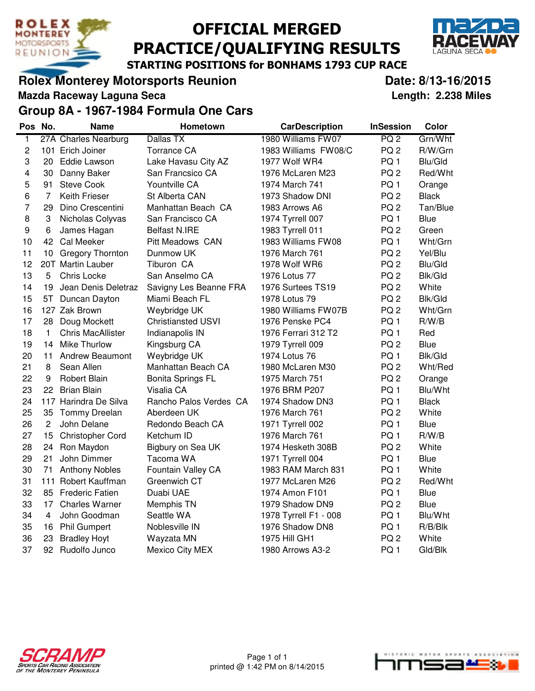

# OFFICIAL MERGED PRACTICE/QUALIFYING RESULTS



STARTING POSITIONS for BONHAMS 1793 CUP RACE

#### **Rolex Monterey Motorsports Reunion Control Control Control Date: 8/13-16/2015**

**Mazda Raceway Laguna Seca Length: 2.238 Miles**

**Group 8A - 1967-1984 Formula One Cars**

| Pos            | No.            | <b>Name</b>              | <b>Hometown</b>           | <b>CarDescription</b> | <b>InSession</b> | Color          |
|----------------|----------------|--------------------------|---------------------------|-----------------------|------------------|----------------|
| $\overline{1}$ |                | 27A Charles Nearburg     | Dallas TX                 | 1980 Williams FW07    | PQ <sub>2</sub>  | Grn/Wht        |
| 2              |                | 101 Erich Joiner         | <b>Torrance CA</b>        | 1983 Williams FW08/C  | PQ <sub>2</sub>  | R/W/Grn        |
| 3              | 20             | <b>Eddie Lawson</b>      | Lake Havasu City AZ       | 1977 Wolf WR4         | PQ1              | Blu/Gld        |
| 4              | 30             | Danny Baker              | San Francsico CA          | 1976 McLaren M23      | PQ <sub>2</sub>  | Red/Wht        |
| 5              | 91             | <b>Steve Cook</b>        | Yountville CA             | 1974 March 741        | PQ <sub>1</sub>  | Orange         |
| 6              | $\overline{7}$ | <b>Keith Frieser</b>     | St Alberta CAN            | 1973 Shadow DNI       | PQ <sub>2</sub>  | <b>Black</b>   |
| 7              | 29             | Dino Crescentini         | Manhattan Beach CA        | 1983 Arrows A6        | PQ <sub>2</sub>  | Tan/Blue       |
| 8              | 3              | Nicholas Colyvas         | San Francisco CA          | 1974 Tyrrell 007      | PQ <sub>1</sub>  | <b>Blue</b>    |
| 9              | 6              | James Hagan              | <b>Belfast N.IRE</b>      | 1983 Tyrrell 011      | PQ <sub>2</sub>  | Green          |
| 10             | 42             | Cal Meeker               | Pitt Meadows CAN          | 1983 Williams FW08    | PQ <sub>1</sub>  | Wht/Grn        |
| 11             | 10             | <b>Gregory Thornton</b>  | Dunmow UK                 | 1976 March 761        | PQ <sub>2</sub>  | Yel/Blu        |
| 12             |                | 20T Martin Lauber        | Tiburon CA                | 1978 Wolf WR6         | PQ <sub>2</sub>  | Blu/Gld        |
| 13             | 5              | Chris Locke              | San Anselmo CA            | 1976 Lotus 77         | PQ <sub>2</sub>  | <b>Blk/Gld</b> |
| 14             | 19             | Jean Denis Deletraz      | Savigny Les Beanne FRA    | 1976 Surtees TS19     | PQ <sub>2</sub>  | White          |
| 15             | 5T             | Duncan Dayton            | Miami Beach FL            | 1978 Lotus 79         | PQ <sub>2</sub>  | <b>Blk/Gld</b> |
| 16             |                | 127 Zak Brown            | Weybridge UK              | 1980 Williams FW07B   | PQ <sub>2</sub>  | Wht/Grn        |
| 17             | 28             | Doug Mockett             | <b>Christiansted USVI</b> | 1976 Penske PC4       | PQ <sub>1</sub>  | R/W/B          |
| 18             | 1              | <b>Chris MacAllister</b> | Indianapolis IN           | 1976 Ferrari 312 T2   | PQ <sub>1</sub>  | Red            |
| 19             | 14             | <b>Mike Thurlow</b>      | Kingsburg CA              | 1979 Tyrrell 009      | PQ <sub>2</sub>  | Blue           |
| 20             | 11             | <b>Andrew Beaumont</b>   | Weybridge UK              | 1974 Lotus 76         | PQ <sub>1</sub>  | <b>Blk/Gld</b> |
| 21             | 8              | Sean Allen               | Manhattan Beach CA        | 1980 McLaren M30      | PQ <sub>2</sub>  | Wht/Red        |
| 22             | 9              | Robert Blain             | <b>Bonita Springs FL</b>  | 1975 March 751        | PQ <sub>2</sub>  | Orange         |
| 23             | 22             | <b>Brian Blain</b>       | Visalia CA                | 1976 BRM P207         | PQ1              | Blu/Wht        |
| 24             |                | 117 Harindra De Silva    | Rancho Palos Verdes CA    | 1974 Shadow DN3       | PQ <sub>1</sub>  | <b>Black</b>   |
| 25             | 35             | Tommy Dreelan            | Aberdeen UK               | 1976 March 761        | PQ <sub>2</sub>  | White          |
| 26             | $\overline{c}$ | John Delane              | Redondo Beach CA          | 1971 Tyrrell 002      | PQ <sub>1</sub>  | Blue           |
| 27             | 15             | <b>Christopher Cord</b>  | Ketchum ID                | 1976 March 761        | PQ <sub>1</sub>  | R/W/B          |
| 28             | 24             | Ron Maydon               | Bigbury on Sea UK         | 1974 Hesketh 308B     | PQ <sub>2</sub>  | White          |
| 29             | 21             | John Dimmer              | Tacoma WA                 | 1971 Tyrrell 004      | PQ <sub>1</sub>  | <b>Blue</b>    |
| 30             | 71             | <b>Anthony Nobles</b>    | Fountain Valley CA        | 1983 RAM March 831    | PQ <sub>1</sub>  | White          |
| 31             |                | 111 Robert Kauffman      | Greenwich CT              | 1977 McLaren M26      | PQ <sub>2</sub>  | Red/Wht        |
| 32             |                | 85 Frederic Fatien       | Duabi UAE                 | 1974 Amon F101        | PQ <sub>1</sub>  | <b>Blue</b>    |
| 33             |                | 17 Charles Warner        | Memphis TN                | 1979 Shadow DN9       | PQ <sub>2</sub>  | Blue           |
| 34             | 4              | John Goodman             | Seattle WA                | 1978 Tyrrell F1 - 008 | PQ <sub>1</sub>  | Blu/Wht        |
| 35             | 16             | <b>Phil Gumpert</b>      | Noblesville IN            | 1976 Shadow DN8       | PQ <sub>1</sub>  | $R/B/B$ lk     |
| 36             | 23             | <b>Bradley Hoyt</b>      | Wayzata MN                | 1975 Hill GH1         | PQ <sub>2</sub>  | White          |
| 37             |                | 92 Rudolfo Junco         | <b>Mexico City MEX</b>    | 1980 Arrows A3-2      | PQ <sub>1</sub>  | Gld/Blk        |



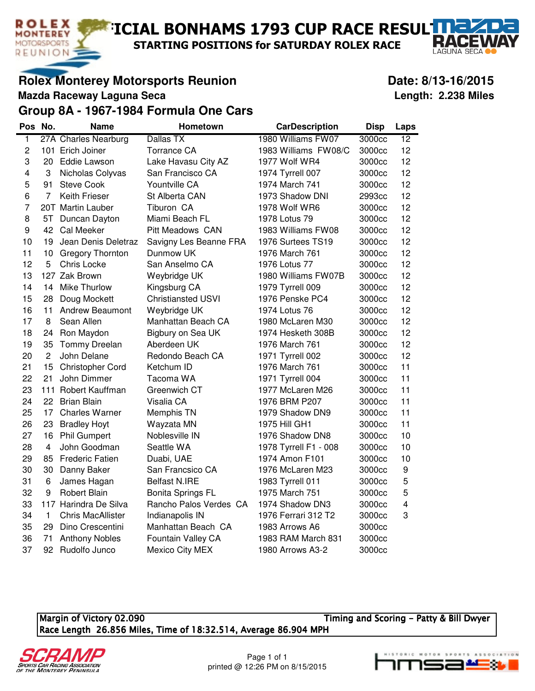$\blacksquare$ ICIAL BONHAMS 1793 CUP RACE RESUL $\Pi$ 

STARTING POSITIONS for SATURDAY ROLEX RACE

## **Rolex Monterey Motorsports Reunion Contract Contract Contract Date: 8/13-16/2015**

**Mazda Raceway Laguna Seca Length: 2.238 Miles**

**ROLEX MONTEREY** 

MOTORSPORTS REUNION

RZ

**LAGUNA SEC** 

#### **Group 8A - 1967-1984 Formula One Cars**

| Pos                     | No.             | Name                     | Hometown                  | <b>CarDescription</b> | <b>Disp</b> | Laps                    |
|-------------------------|-----------------|--------------------------|---------------------------|-----------------------|-------------|-------------------------|
| $\overline{1}$          |                 | 27A Charles Nearburg     | Dallas TX                 | 1980 Williams FW07    | 3000cc      | 12                      |
| $\overline{c}$          |                 | 101 Erich Joiner         | <b>Torrance CA</b>        | 1983 Williams FW08/C  | 3000cc      | 12                      |
| 3                       | 20              | Eddie Lawson             | Lake Havasu City AZ       | 1977 Wolf WR4         | 3000cc      | 12                      |
| $\overline{\mathbf{4}}$ | 3               | Nicholas Colyvas         | San Francisco CA          | 1974 Tyrrell 007      | 3000cc      | 12                      |
| 5                       | 91              | <b>Steve Cook</b>        | Yountville CA             | 1974 March 741        | 3000cc      | 12                      |
| 6                       | 7               | Keith Frieser            | St Alberta CAN            | 1973 Shadow DNI       | 2993cc      | 12                      |
| $\overline{7}$          |                 | 20T Martin Lauber        | Tiburon CA                | 1978 Wolf WR6         | 3000cc      | 12                      |
| 8                       | 5T              | Duncan Dayton            | Miami Beach FL            | 1978 Lotus 79         | 3000cc      | 12                      |
| 9                       | 42              | Cal Meeker               | <b>Pitt Meadows CAN</b>   | 1983 Williams FW08    | 3000cc      | 12                      |
| 10                      | 19              | Jean Denis Deletraz      | Savigny Les Beanne FRA    | 1976 Surtees TS19     | 3000cc      | 12                      |
| 11                      | 10 <sub>1</sub> | <b>Gregory Thornton</b>  | Dunmow UK                 | 1976 March 761        | 3000cc      | 12                      |
| 12                      | 5               | Chris Locke              | San Anselmo CA            | 1976 Lotus 77         | 3000cc      | 12                      |
| 13                      |                 | 127 Zak Brown            | Weybridge UK              | 1980 Williams FW07B   | 3000cc      | 12                      |
| 14                      | 14              | <b>Mike Thurlow</b>      | Kingsburg CA              | 1979 Tyrrell 009      | 3000cc      | 12                      |
| 15                      | 28              | Doug Mockett             | <b>Christiansted USVI</b> | 1976 Penske PC4       | 3000cc      | 12                      |
| 16                      | 11              | <b>Andrew Beaumont</b>   | Weybridge UK              | 1974 Lotus 76         | 3000cc      | 12                      |
| 17                      | 8               | Sean Allen               | Manhattan Beach CA        | 1980 McLaren M30      | 3000cc      | 12                      |
| 18                      | 24              | Ron Maydon               | Bigbury on Sea UK         | 1974 Hesketh 308B     | 3000cc      | 12                      |
| 19                      | 35              | Tommy Dreelan            | Aberdeen UK               | 1976 March 761        | 3000cc      | 12                      |
| 20                      | $\overline{c}$  | John Delane              | Redondo Beach CA          | 1971 Tyrrell 002      | 3000cc      | 12                      |
| 21                      | 15              | <b>Christopher Cord</b>  | Ketchum ID                | 1976 March 761        | 3000cc      | 11                      |
| 22                      | 21              | John Dimmer              | Tacoma WA                 | 1971 Tyrrell 004      | 3000cc      | 11                      |
| 23                      |                 | 111 Robert Kauffman      | Greenwich CT              | 1977 McLaren M26      | 3000cc      | 11                      |
| 24                      | 22              | <b>Brian Blain</b>       | Visalia CA                | 1976 BRM P207         | 3000cc      | 11                      |
| 25                      | 17              | <b>Charles Warner</b>    | Memphis TN                | 1979 Shadow DN9       | 3000cc      | 11                      |
| 26                      | 23              | <b>Bradley Hoyt</b>      | Wayzata MN                | 1975 Hill GH1         | 3000cc      | 11                      |
| 27                      | 16              | <b>Phil Gumpert</b>      | Noblesville IN            | 1976 Shadow DN8       | 3000cc      | 10                      |
| 28                      | $\overline{4}$  | John Goodman             | Seattle WA                | 1978 Tyrrell F1 - 008 | 3000cc      | 10                      |
| 29                      | 85              | <b>Frederic Fatien</b>   | Duabi, UAE                | 1974 Amon F101        | 3000cc      | 10                      |
| 30                      | 30              | Danny Baker              | San Francsico CA          | 1976 McLaren M23      | 3000cc      | $\boldsymbol{9}$        |
| 31                      | 6               | James Hagan              | <b>Belfast N.IRE</b>      | 1983 Tyrrell 011      | 3000cc      | 5                       |
| 32                      | 9               | <b>Robert Blain</b>      | <b>Bonita Springs FL</b>  | 1975 March 751        | 3000cc      | 5                       |
| 33                      |                 | 117 Harindra De Silva    | Rancho Palos Verdes CA    | 1974 Shadow DN3       | 3000cc      | $\overline{\mathbf{4}}$ |
| 34                      | $\mathbf{1}$    | <b>Chris MacAllister</b> | Indianapolis IN           | 1976 Ferrari 312 T2   | 3000cc      | 3                       |
| 35                      | 29              | Dino Crescentini         | Manhattan Beach CA        | 1983 Arrows A6        | 3000cc      |                         |
| 36                      | 71              | <b>Anthony Nobles</b>    | Fountain Valley CA        | 1983 RAM March 831    | 3000cc      |                         |
| 37                      | 92              | Rudolfo Junco            | <b>Mexico City MEX</b>    | 1980 Arrows A3-2      | 3000cc      |                         |

Margin of Victory 02.090 **Margin of Victory 02.090** Timing and Scoring - Patty & Bill Dwyer Race Length 26.856 Miles, Time of 18:32.514, Average 86.904 MPH